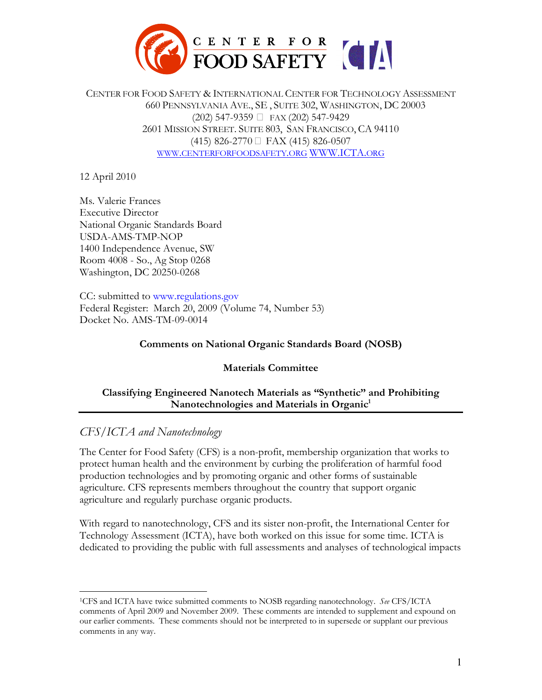

CENTER FOR FOOD SAFETY & INTERNATIONAL CENTER FOR TECHNOLOGY ASSESSMENT 660 PENNSYLVANIA AVE., SE , SUITE 302, WASHINGTON, DC 20003 (202) 547-9359 \$ FAX (202) 547-9429 2601 MISSION STREET. SUITE 803, SAN FRANCISCO, CA 94110 (415) 826-2770 \$ FAX (415) 826-0507 WWW.CENTERFORFOODSAFETY.ORG WWW.ICTA.ORG

12 April 2010

Ms. Valerie Frances Executive Director National Organic Standards Board USDA-AMS-TMP-NOP 1400 Independence Avenue, SW Room 4008 - So., Ag Stop 0268 Washington, DC 20250-0268

CC: submitted to www.regulations.gov Federal Register: March 20, 2009 (Volume 74, Number 53) Docket No. AMS-TM-09-0014

#### **Comments on National Organic Standards Board (NOSB)**

#### **Materials Committee**

### **Classifying Engineered Nanotech Materials as "Synthetic" and Prohibiting Nanotechnologies and Materials in Organic<sup>1</sup>**

# *CFS/ICTA and Nanotechnology*

The Center for Food Safety (CFS) is a non-profit, membership organization that works to protect human health and the environment by curbing the proliferation of harmful food production technologies and by promoting organic and other forms of sustainable agriculture. CFS represents members throughout the country that support organic agriculture and regularly purchase organic products.

With regard to nanotechnology, CFS and its sister non-profit, the International Center for Technology Assessment (ICTA), have both worked on this issue for some time. ICTA is dedicated to providing the public with full assessments and analyses of technological impacts

 $\overline{a}$ <sup>1</sup>CFS and ICTA have twice submitted comments to NOSB regarding nanotechnology. *See* CFS/ICTA comments of April 2009 and November 2009. These comments are intended to supplement and expound on our earlier comments. These comments should not be interpreted to in supersede or supplant our previous comments in any way.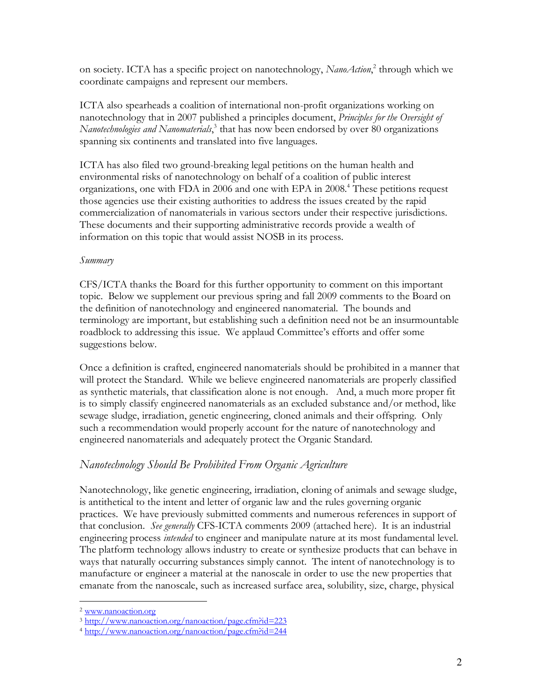on society. ICTA has a specific project on nanotechnology, *NanoAction*,<sup>2</sup> through which we coordinate campaigns and represent our members.

ICTA also spearheads a coalition of international non-profit organizations working on nanotechnology that in 2007 published a principles document, *Principles for the Oversight of Nanotechnologies and Nanomaterials*, 3 that has now been endorsed by over 80 organizations spanning six continents and translated into five languages.

ICTA has also filed two ground-breaking legal petitions on the human health and environmental risks of nanotechnology on behalf of a coalition of public interest organizations, one with FDA in 2006 and one with EPA in 2008.<sup>4</sup> These petitions request those agencies use their existing authorities to address the issues created by the rapid commercialization of nanomaterials in various sectors under their respective jurisdictions. These documents and their supporting administrative records provide a wealth of information on this topic that would assist NOSB in its process.

#### *Summary*

CFS/ICTA thanks the Board for this further opportunity to comment on this important topic. Below we supplement our previous spring and fall 2009 comments to the Board on the definition of nanotechnology and engineered nanomaterial. The bounds and terminology are important, but establishing such a definition need not be an insurmountable roadblock to addressing this issue. We applaud Committee's efforts and offer some suggestions below.

Once a definition is crafted, engineered nanomaterials should be prohibited in a manner that will protect the Standard. While we believe engineered nanomaterials are properly classified as synthetic materials, that classification alone is not enough. And, a much more proper fit is to simply classify engineered nanomaterials as an excluded substance and/or method, like sewage sludge, irradiation, genetic engineering, cloned animals and their offspring. Only such a recommendation would properly account for the nature of nanotechnology and engineered nanomaterials and adequately protect the Organic Standard.

## *Nanotechnology Should Be Prohibited From Organic Agriculture*

Nanotechnology, like genetic engineering, irradiation, cloning of animals and sewage sludge, is antithetical to the intent and letter of organic law and the rules governing organic practices. We have previously submitted comments and numerous references in support of that conclusion. *See generally* CFS-ICTA comments 2009 (attached here). It is an industrial engineering process *intended* to engineer and manipulate nature at its most fundamental level. The platform technology allows industry to create or synthesize products that can behave in ways that naturally occurring substances simply cannot. The intent of nanotechnology is to manufacture or engineer a material at the nanoscale in order to use the new properties that emanate from the nanoscale, such as increased surface area, solubility, size, charge, physical

 $\overline{a}$ 

<sup>2</sup> www.nanoaction.org

<sup>3</sup> http://www.nanoaction.org/nanoaction/page.cfm?id=223

<sup>4</sup> http://www.nanoaction.org/nanoaction/page.cfm?id=244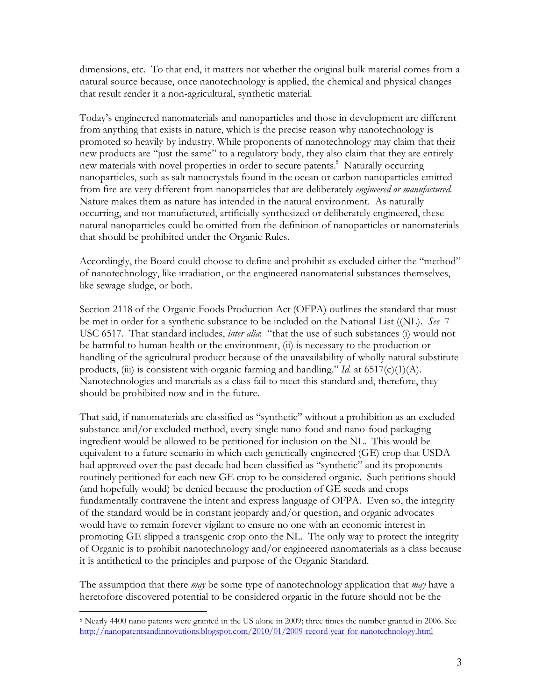dimensions, etc. To that end, it matters not whether the original bulk material comes from a natural source because, once nanotechnology is applied, the chemical and physical changes that result render it a non-agricultural, synthetic material.

Today's engineered nanomaterials and nanoparticles and those in development are different from anything that exists in nature, which is the precise reason why nanotechnology is promoted so heavily by industry. While proponents of nanotechnology may claim that their new products are "just the same" to a regulatory body, they also claim that they are entirely new materials with novel properties in order to secure patents.<sup>5</sup> Naturally occurring nanoparticles, such as salt nanocrystals found in the ocean or carbon nanoparticles emitted from fire are very different from nanoparticles that are deliberately *engineered or manufactured.*  Nature makes them as nature has intended in the natural environment. As naturally occurring, and not manufactured, artificially synthesized or deliberately engineered, these natural nanoparticles could be omitted from the definition of nanoparticles or nanomaterials that should be prohibited under the Organic Rules.

Accordingly, the Board could choose to define and prohibit as excluded either the "method" of nanotechnology, like irradiation, or the engineered nanomaterial substances themselves, like sewage sludge, or both.

Section 2118 of the Organic Foods Production Act (OFPA) outlines the standard that must be met in order for a synthetic substance to be included on the National List ((NL). *See* 7 USC 6517. That standard includes, *inter alia*: "that the use of such substances (i) would not be harmful to human health or the environment, (ii) is necessary to the production or handling of the agricultural product because of the unavailability of wholly natural substitute products, (iii) is consistent with organic farming and handling." *Id.* at 6517(c)(1)(A). Nanotechnologies and materials as a class fail to meet this standard and, therefore, they should be prohibited now and in the future.

That said, if nanomaterials are classified as "synthetic" without a prohibition as an excluded substance and/or excluded method, every single nano-food and nano-food packaging ingredient would be allowed to be petitioned for inclusion on the NL. This would be equivalent to a future scenario in which each genetically engineered (GE) crop that USDA had approved over the past decade had been classified as "synthetic" and its proponents routinely petitioned for each new GE crop to be considered organic. Such petitions should (and hopefully would) be denied because the production of GE seeds and crops fundamentally contravene the intent and express language of OFPA. Even so, the integrity of the standard would be in constant jeopardy and/or question, and organic advocates would have to remain forever vigilant to ensure no one with an economic interest in promoting GE slipped a transgenic crop onto the NL. The only way to protect the integrity of Organic is to prohibit nanotechnology and/or engineered nanomaterials as a class because it is antithetical to the principles and purpose of the Organic Standard.

The assumption that there *may* be some type of nanotechnology application that *may* have a heretofore discovered potential to be considered organic in the future should not be the

 $\overline{a}$ 

<sup>5</sup> Nearly 4400 nano patents were granted in the US alone in 2009; three times the number granted in 2006. See http://nanopatentsandinnovations.blogspot.com/2010/01/2009-record-year-for-nanotechnology.html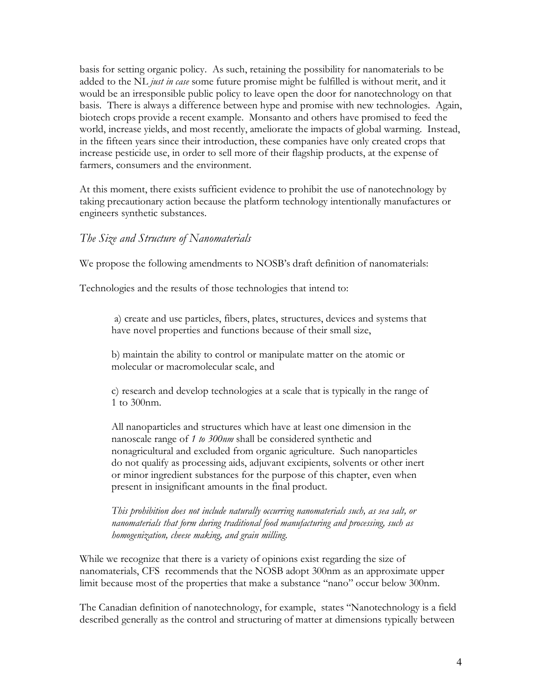basis for setting organic policy. As such, retaining the possibility for nanomaterials to be added to the NL *just in case* some future promise might be fulfilled is without merit, and it would be an irresponsible public policy to leave open the door for nanotechnology on that basis. There is always a difference between hype and promise with new technologies. Again, biotech crops provide a recent example. Monsanto and others have promised to feed the world, increase yields, and most recently, ameliorate the impacts of global warming. Instead, in the fifteen years since their introduction, these companies have only created crops that increase pesticide use, in order to sell more of their flagship products, at the expense of farmers, consumers and the environment.

At this moment, there exists sufficient evidence to prohibit the use of nanotechnology by taking precautionary action because the platform technology intentionally manufactures or engineers synthetic substances.

### *The Size and Structure of Nanomaterials*

We propose the following amendments to NOSB's draft definition of nanomaterials:

Technologies and the results of those technologies that intend to:

 a) create and use particles, fibers, plates, structures, devices and systems that have novel properties and functions because of their small size,

b) maintain the ability to control or manipulate matter on the atomic or molecular or macromolecular scale, and

c) research and develop technologies at a scale that is typically in the range of 1 to 300nm.

All nanoparticles and structures which have at least one dimension in the nanoscale range of *1 to 300nm* shall be considered synthetic and nonagricultural and excluded from organic agriculture. Such nanoparticles do not qualify as processing aids, adjuvant excipients, solvents or other inert or minor ingredient substances for the purpose of this chapter, even when present in insignificant amounts in the final product.

*This prohibition does not include naturally occurring nanomaterials such, as sea salt, or nanomaterials that form during traditional food manufacturing and processing, such as homogenization, cheese making, and grain milling.* 

While we recognize that there is a variety of opinions exist regarding the size of nanomaterials, CFS recommends that the NOSB adopt 300nm as an approximate upper limit because most of the properties that make a substance "nano" occur below 300nm.

The Canadian definition of nanotechnology, for example, states "Nanotechnology is a field described generally as the control and structuring of matter at dimensions typically between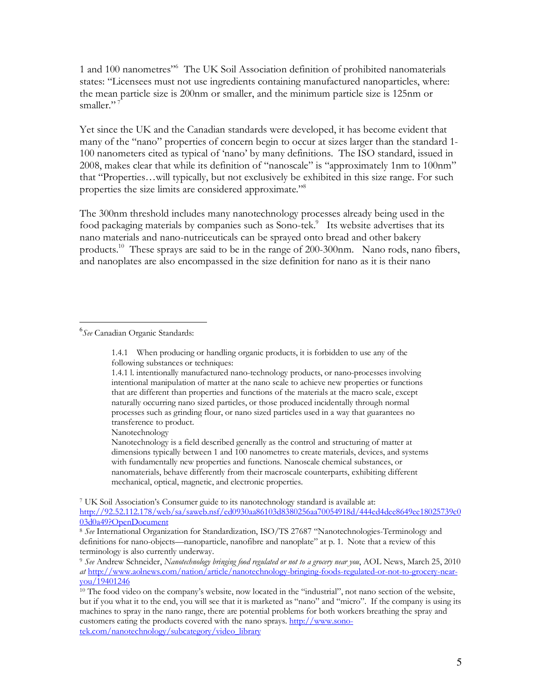1 and 100 nanometres"<sup>6</sup> The UK Soil Association definition of prohibited nanomaterials states: "Licensees must not use ingredients containing manufactured nanoparticles, where: the mean particle size is 200nm or smaller, and the minimum particle size is 125nm or smaller."<sup>7</sup>

Yet since the UK and the Canadian standards were developed, it has become evident that many of the "nano" properties of concern begin to occur at sizes larger than the standard 1- 100 nanometers cited as typical of 'nano' by many definitions. The ISO standard, issued in 2008, makes clear that while its definition of "nanoscale" is "approximately 1nm to 100nm" that "Properties…will typically, but not exclusively be exhibited in this size range. For such properties the size limits are considered approximate."<sup>8</sup>

The 300nm threshold includes many nanotechnology processes already being used in the food packaging materials by companies such as Sono-tek.<sup>9</sup> Its website advertises that its nano materials and nano-nutriceuticals can be sprayed onto bread and other bakery products.<sup>10</sup> These sprays are said to be in the range of 200-300nm. Nano rods, nano fibers, and nanoplates are also encompassed in the size definition for nano as it is their nano

 $\overline{a}$ 6 *See* Canadian Organic Standards:

Nanotechnology

Nanotechnology is a field described generally as the control and structuring of matter at dimensions typically between 1 and 100 nanometres to create materials, devices, and systems with fundamentally new properties and functions. Nanoscale chemical substances, or nanomaterials, behave differently from their macroscale counterparts, exhibiting different mechanical, optical, magnetic, and electronic properties.

7 UK Soil Association's Consumer guide to its nanotechnology standard is available at: http://92.52.112.178/web/sa/saweb.nsf/ed0930aa86103d8380256aa70054918d/444ed4dee8649ee18025739c0 03d0a49?OpenDocument

<sup>1.4.1</sup> When producing or handling organic products, it is forbidden to use any of the following substances or techniques:

<sup>1.4.1</sup> l. intentionally manufactured nano-technology products, or nano-processes involving intentional manipulation of matter at the nano scale to achieve new properties or functions that are different than properties and functions of the materials at the macro scale, except naturally occurring nano sized particles, or those produced incidentally through normal processes such as grinding flour, or nano sized particles used in a way that guarantees no transference to product.

<sup>8</sup> *See* International Organization for Standardization, ISO/TS 27687 "Nanotechnologies-Terminology and definitions for nano-objects—nanoparticle, nanofibre and nanoplate" at p. 1. Note that a review of this terminology is also currently underway.

<sup>9</sup> *See* Andrew Schneider, *Nanotechnology bringing food regulated or not to a grocery near you*, AOL News, March 25, 2010 *at* http://www.aolnews.com/nation/article/nanotechnology-bringing-foods-regulated-or-not-to-grocery-nearyou/19401246

 $10$  The food video on the company's website, now located in the "industrial", not nano section of the website, but if you what it to the end, you will see that it is marketed as "nano" and "micro". If the company is using its machines to spray in the nano range, there are potential problems for both workers breathing the spray and customers eating the products covered with the nano sprays. http://www.sonotek.com/nanotechnology/subcategory/video\_library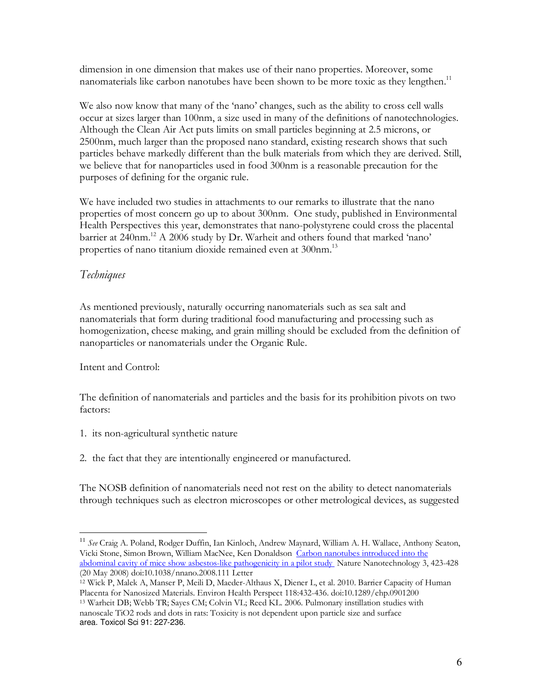dimension in one dimension that makes use of their nano properties. Moreover, some nanomaterials like carbon nanotubes have been shown to be more toxic as they lengthen.<sup>11</sup>

We also now know that many of the 'nano' changes, such as the ability to cross cell walls occur at sizes larger than 100nm, a size used in many of the definitions of nanotechnologies. Although the Clean Air Act puts limits on small particles beginning at 2.5 microns, or 2500nm, much larger than the proposed nano standard, existing research shows that such particles behave markedly different than the bulk materials from which they are derived. Still, we believe that for nanoparticles used in food 300nm is a reasonable precaution for the purposes of defining for the organic rule.

We have included two studies in attachments to our remarks to illustrate that the nano properties of most concern go up to about 300nm. One study, published in Environmental Health Perspectives this year, demonstrates that nano-polystyrene could cross the placental barrier at 240nm.<sup>12</sup> A 2006 study by Dr. Warheit and others found that marked 'nano' properties of nano titanium dioxide remained even at 300nm.<sup>13</sup>

# *Techniques*

As mentioned previously, naturally occurring nanomaterials such as sea salt and nanomaterials that form during traditional food manufacturing and processing such as homogenization, cheese making, and grain milling should be excluded from the definition of nanoparticles or nanomaterials under the Organic Rule.

## Intent and Control:

 $\overline{a}$ 

The definition of nanomaterials and particles and the basis for its prohibition pivots on two factors:

- 1. its non-agricultural synthetic nature
- 2. the fact that they are intentionally engineered or manufactured.

The NOSB definition of nanomaterials need not rest on the ability to detect nanomaterials through techniques such as electron microscopes or other metrological devices, as suggested

<sup>11</sup> *See* Craig A. Poland, Rodger Duffin, Ian Kinloch, Andrew Maynard, William A. H. Wallace, Anthony Seaton, Vicki Stone, Simon Brown, William MacNee, Ken Donaldson Carbon nanotubes introduced into the abdominal cavity of mice show asbestos-like pathogenicity in a pilot study. Nature Nanotechnology 3, 423-428 (20 May 2008) doi:10.1038/nnano.2008.111 Letter

<sup>12</sup> Wick P, Malek A, Manser P, Meili D, Maeder-Althaus X, Diener L, et al. 2010. Barrier Capacity of Human Placenta for Nanosized Materials. Environ Health Perspect 118:432-436. doi:10.1289/ehp.0901200

<sup>13</sup> Warheit DB; Webb TR; Sayes CM; Colvin VL; Reed KL. 2006. Pulmonary instillation studies with nanoscale TiO2 rods and dots in rats: Toxicity is not dependent upon particle size and surface area. Toxicol Sci 91: 227-236.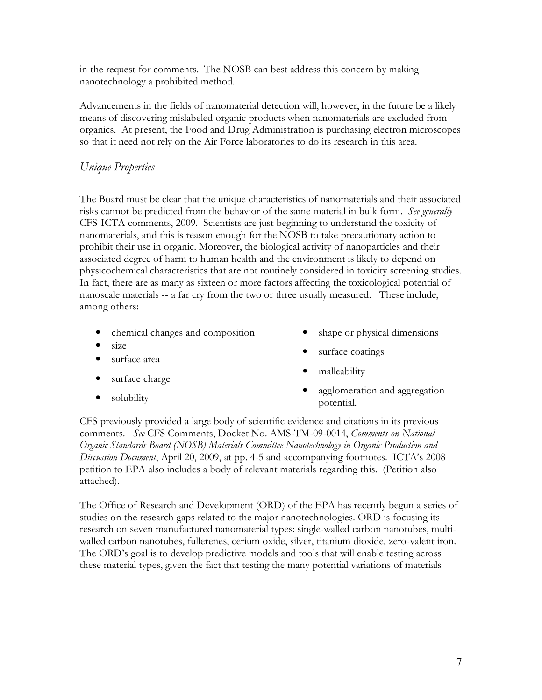in the request for comments. The NOSB can best address this concern by making nanotechnology a prohibited method.

Advancements in the fields of nanomaterial detection will, however, in the future be a likely means of discovering mislabeled organic products when nanomaterials are excluded from organics. At present, the Food and Drug Administration is purchasing electron microscopes so that it need not rely on the Air Force laboratories to do its research in this area.

## *Unique Properties*

The Board must be clear that the unique characteristics of nanomaterials and their associated risks cannot be predicted from the behavior of the same material in bulk form. *See generally*  CFS-ICTA comments, 2009. Scientists are just beginning to understand the toxicity of nanomaterials, and this is reason enough for the NOSB to take precautionary action to prohibit their use in organic. Moreover, the biological activity of nanoparticles and their associated degree of harm to human health and the environment is likely to depend on physicochemical characteristics that are not routinely considered in toxicity screening studies. In fact, there are as many as sixteen or more factors affecting the toxicological potential of nanoscale materials -- a far cry from the two or three usually measured. These include, among others:

- chemical changes and composition
- $\bullet$  size
- surface area
- surface charge
- solubility
- shape or physical dimensions
- surface coatings
- malleability
- agglomeration and aggregation potential.

CFS previously provided a large body of scientific evidence and citations in its previous comments. *See* CFS Comments, Docket No. AMS-TM-09-0014, *Comments on National Organic Standards Board (NOSB) Materials Committee Nanotechnology in Organic Production and Discussion Document*, April 20, 2009, at pp. 4-5 and accompanying footnotes. ICTA's 2008 petition to EPA also includes a body of relevant materials regarding this. (Petition also attached).

The Office of Research and Development (ORD) of the EPA has recently begun a series of studies on the research gaps related to the major nanotechnologies. ORD is focusing its research on seven manufactured nanomaterial types: single-walled carbon nanotubes, multiwalled carbon nanotubes, fullerenes, cerium oxide, silver, titanium dioxide, zero-valent iron. The ORD's goal is to develop predictive models and tools that will enable testing across these material types, given the fact that testing the many potential variations of materials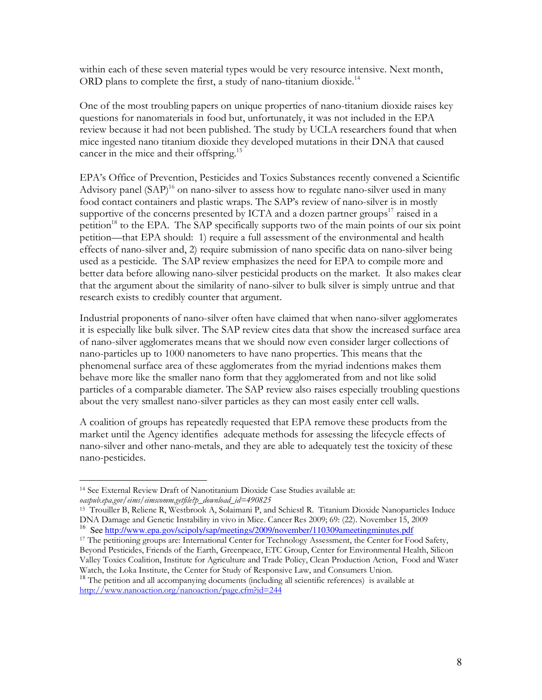within each of these seven material types would be very resource intensive. Next month, ORD plans to complete the first, a study of nano-titanium dioxide.<sup>14</sup>

One of the most troubling papers on unique properties of nano-titanium dioxide raises key questions for nanomaterials in food but, unfortunately, it was not included in the EPA review because it had not been published. The study by UCLA researchers found that when mice ingested nano titanium dioxide they developed mutations in their DNA that caused cancer in the mice and their offspring.<sup>15</sup>

EPA's Office of Prevention, Pesticides and Toxics Substances recently convened a Scientific Advisory panel  $(SAP)^{16}$  on nano-silver to assess how to regulate nano-silver used in many food contact containers and plastic wraps. The SAP's review of nano-silver is in mostly supportive of the concerns presented by ICTA and a dozen partner groups<sup>17</sup> raised in a petition<sup>18</sup> to the EPA. The SAP specifically supports two of the main points of our six point petition—that EPA should: 1) require a full assessment of the environmental and health effects of nano-silver and, 2) require submission of nano specific data on nano-silver being used as a pesticide. The SAP review emphasizes the need for EPA to compile more and better data before allowing nano-silver pesticidal products on the market. It also makes clear that the argument about the similarity of nano-silver to bulk silver is simply untrue and that research exists to credibly counter that argument.

Industrial proponents of nano-silver often have claimed that when nano-silver agglomerates it is especially like bulk silver. The SAP review cites data that show the increased surface area of nano-silver agglomerates means that we should now even consider larger collections of nano-particles up to 1000 nanometers to have nano properties. This means that the phenomenal surface area of these agglomerates from the myriad indentions makes them behave more like the smaller nano form that they agglomerated from and not like solid particles of a comparable diameter. The SAP review also raises especially troubling questions about the very smallest nano-silver particles as they can most easily enter cell walls.

A coalition of groups has repeatedly requested that EPA remove these products from the market until the Agency identifies adequate methods for assessing the lifecycle effects of nano-silver and other nano-metals, and they are able to adequately test the toxicity of these nano-pesticides.

 $\overline{a}$ 

<sup>14</sup> See External Review Draft of Nanotitanium Dioxide Case Studies available at: *oaspub.epa.gov/eims/eimscomm.getfile?p\_download\_id=490825* 

<sup>15</sup> Trouiller B, Reliene R, Westbrook A, Solaimani P, and Schiestl R. Titanium Dioxide Nanoparticles Induce DNA Damage and Genetic Instability in vivo in Mice. Cancer Res 2009; 69: (22). November 15, 2009 <sup>16</sup> See http://www.epa.gov/scipoly/sap/meetings/2009/november/110309ameetingminutes.pdf

<sup>&</sup>lt;sup>17</sup> The petitioning groups are: International Center for Technology Assessment, the Center for Food Safety, Beyond Pesticides, Friends of the Earth, Greenpeace, ETC Group, Center for Environmental Health, Silicon Valley Toxics Coalition, Institute for Agriculture and Trade Policy, Clean Production Action, Food and Water Watch, the Loka Institute, the Center for Study of Responsive Law, and Consumers Union.

<sup>&</sup>lt;sup>18</sup> The petition and all accompanying documents (including all scientific references) is available at http://www.nanoaction.org/nanoaction/page.cfm?id=244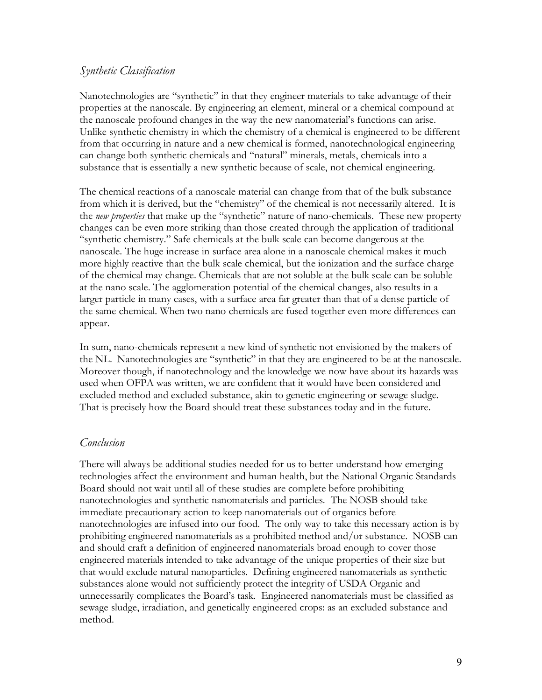## *Synthetic Classification*

Nanotechnologies are "synthetic" in that they engineer materials to take advantage of their properties at the nanoscale. By engineering an element, mineral or a chemical compound at the nanoscale profound changes in the way the new nanomaterial's functions can arise. Unlike synthetic chemistry in which the chemistry of a chemical is engineered to be different from that occurring in nature and a new chemical is formed, nanotechnological engineering can change both synthetic chemicals and "natural" minerals, metals, chemicals into a substance that is essentially a new synthetic because of scale, not chemical engineering.

The chemical reactions of a nanoscale material can change from that of the bulk substance from which it is derived, but the "chemistry" of the chemical is not necessarily altered. It is the *new properties* that make up the "synthetic" nature of nano-chemicals. These new property changes can be even more striking than those created through the application of traditional "synthetic chemistry." Safe chemicals at the bulk scale can become dangerous at the nanoscale. The huge increase in surface area alone in a nanoscale chemical makes it much more highly reactive than the bulk scale chemical, but the ionization and the surface charge of the chemical may change. Chemicals that are not soluble at the bulk scale can be soluble at the nano scale. The agglomeration potential of the chemical changes, also results in a larger particle in many cases, with a surface area far greater than that of a dense particle of the same chemical. When two nano chemicals are fused together even more differences can appear.

In sum, nano-chemicals represent a new kind of synthetic not envisioned by the makers of the NL. Nanotechnologies are "synthetic" in that they are engineered to be at the nanoscale. Moreover though, if nanotechnology and the knowledge we now have about its hazards was used when OFPA was written, we are confident that it would have been considered and excluded method and excluded substance, akin to genetic engineering or sewage sludge. That is precisely how the Board should treat these substances today and in the future.

## *Conclusion*

There will always be additional studies needed for us to better understand how emerging technologies affect the environment and human health, but the National Organic Standards Board should not wait until all of these studies are complete before prohibiting nanotechnologies and synthetic nanomaterials and particles. The NOSB should take immediate precautionary action to keep nanomaterials out of organics before nanotechnologies are infused into our food. The only way to take this necessary action is by prohibiting engineered nanomaterials as a prohibited method and/or substance. NOSB can and should craft a definition of engineered nanomaterials broad enough to cover those engineered materials intended to take advantage of the unique properties of their size but that would exclude natural nanoparticles. Defining engineered nanomaterials as synthetic substances alone would not sufficiently protect the integrity of USDA Organic and unnecessarily complicates the Board's task. Engineered nanomaterials must be classified as sewage sludge, irradiation, and genetically engineered crops: as an excluded substance and method.